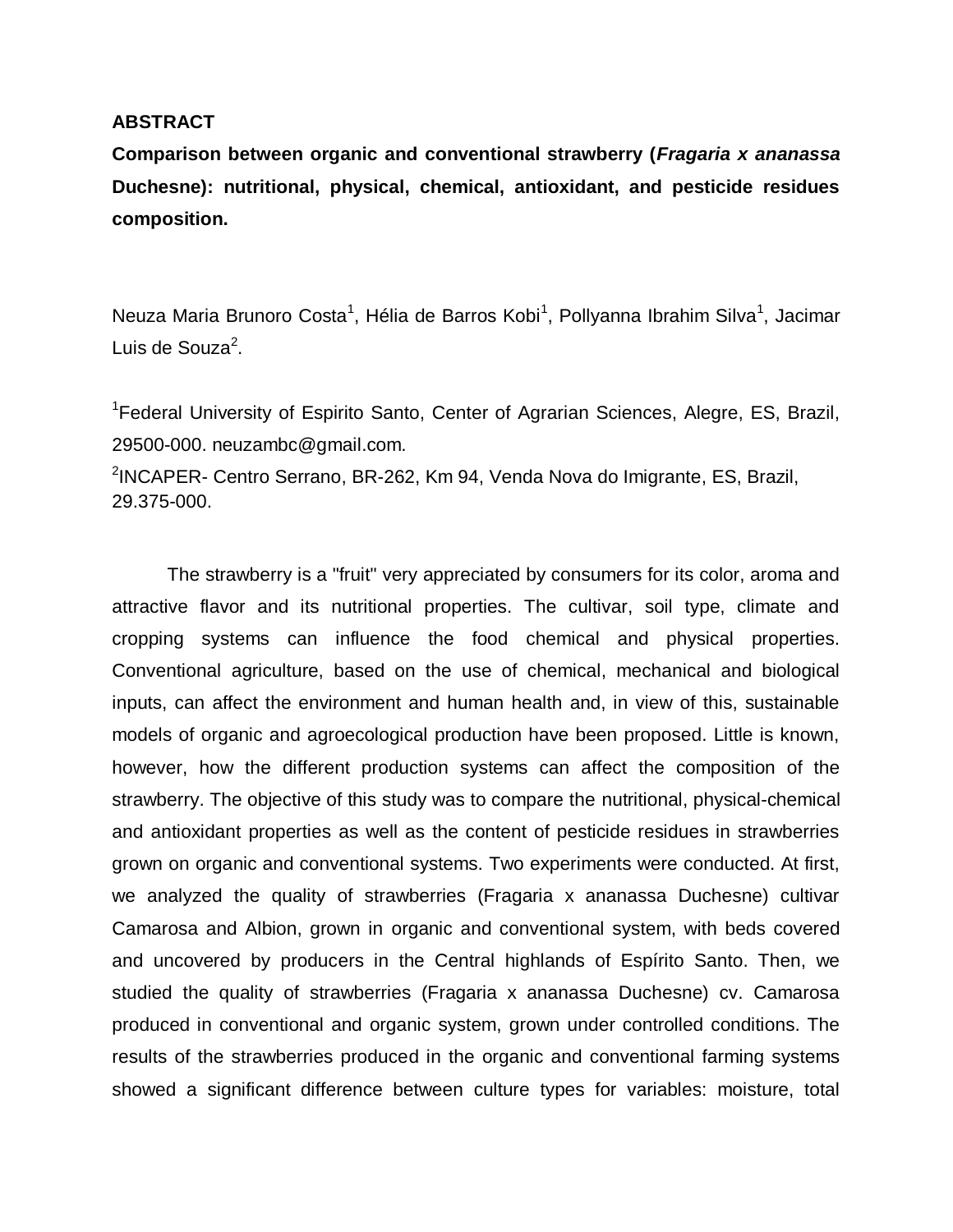## **ABSTRACT**

**Comparison between organic and conventional strawberry (***Fragaria x ananassa*  **Duchesne): nutritional, physical, chemical, antioxidant, and pesticide residues composition.**

Neuza Maria Brunoro Costa<sup>1</sup>, Hélia de Barros Kobi<sup>1</sup>, Pollyanna Ibrahim Silva<sup>1</sup>, Jacimar Luis de Souza<sup>2</sup>.

<sup>1</sup> Federal University of Espirito Santo, Center of Agrarian Sciences, Alegre, ES, Brazil, 29500-000. neuzambc@gmail.com. <sup>2</sup>INCAPER- Centro Serrano, BR-262, Km 94, Venda Nova do Imigrante, ES, Brazil, 29.375-000.

The strawberry is a "fruit" very appreciated by consumers for its color, aroma and attractive flavor and its nutritional properties. The cultivar, soil type, climate and cropping systems can influence the food chemical and physical properties. Conventional agriculture, based on the use of chemical, mechanical and biological inputs, can affect the environment and human health and, in view of this, sustainable models of organic and agroecological production have been proposed. Little is known, however, how the different production systems can affect the composition of the strawberry. The objective of this study was to compare the nutritional, physical-chemical and antioxidant properties as well as the content of pesticide residues in strawberries grown on organic and conventional systems. Two experiments were conducted. At first, we analyzed the quality of strawberries (Fragaria x ananassa Duchesne) cultivar Camarosa and Albion, grown in organic and conventional system, with beds covered and uncovered by producers in the Central highlands of Espírito Santo. Then, we studied the quality of strawberries (Fragaria x ananassa Duchesne) cv. Camarosa produced in conventional and organic system, grown under controlled conditions. The results of the strawberries produced in the organic and conventional farming systems showed a significant difference between culture types for variables: moisture, total